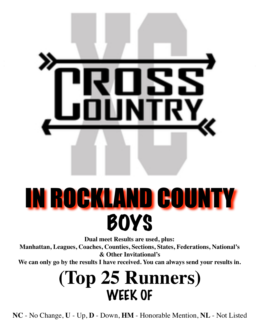

# IN ROCKLAND COUNTY **BOYS**

**Dual meet Results are used, plus:**

**Manhattan, Leagues, Coaches, Counties, Sections, States, Federations, National's & Other Invitational's**

**We can only go by the results I have received. You can always send your results in.**

### **(Top 25 Runners)** WEEK OF

**NC** - No Change, **U** - Up, **D** - Down, **HM** - Honorable Mention, **NL** - Not Listed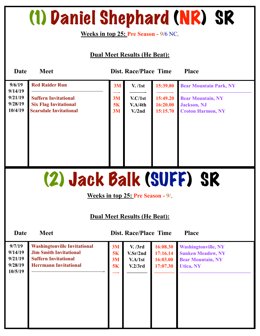### (1) Daniel Shephard (NR) SR

**Weeks in top 25: Pre Season -** 9/6 NC,

**Dual Meet Results (He Beat):** 

| Date                          | <b>Meet</b>                                                                                  |                | <b>Dist. Race/Place Time</b>              |                                  | <b>Place</b>                                                                |
|-------------------------------|----------------------------------------------------------------------------------------------|----------------|-------------------------------------------|----------------------------------|-----------------------------------------------------------------------------|
| 9/6/19<br>9/14/19             | <b>Red Raider Run</b>                                                                        | 3M             | V. / 1st                                  | 15:39.80                         | <b>Bear Mountain Park, NY</b>                                               |
| 9/21/19<br>9/28/19<br>10/4/19 | <b>Suffern Invitational</b><br><b>Six Flag Invitational</b><br><b>Scarsdale Invitational</b> | 3M<br>5K<br>3M | V.C/1st<br>V.A/4th<br>V <sub>1</sub> /2nd | 15:49.20<br>16:20.00<br>15:15.70 | <b>Bear Mountain, NY</b><br><b>Jackson</b> , NJ<br><b>Croton Harmon, NY</b> |
|                               |                                                                                              |                |                                           |                                  |                                                                             |

### (2) Jack Balk (SUFF) SR

**Weeks in top 25: Pre Season -** 9/,

#### **Dual Meet Results (He Beat):**

| 9/7/19<br>9/14/19<br>9/21/19<br>9/28/19<br>10/5/19 | <b>Washingtonville Invitational</b><br><b>Jim Smith Invitational</b><br><b>Suffern Invitational</b><br><b>Herrmann Invitational</b> | 3M<br>5K<br>3M<br>5K | V. /3rd<br>V.Sr/2nd<br>V.A/1st<br>V.2/3rd | 16:08.30<br>17:16.14<br>16:03.00<br>17:07.30 | <b>Washingtonville, NY</b><br><b>Sunken Meadow, NY</b><br><b>Bear Mountain, NY</b><br><b>Utica, NY</b> |
|----------------------------------------------------|-------------------------------------------------------------------------------------------------------------------------------------|----------------------|-------------------------------------------|----------------------------------------------|--------------------------------------------------------------------------------------------------------|
|                                                    |                                                                                                                                     |                      |                                           |                                              |                                                                                                        |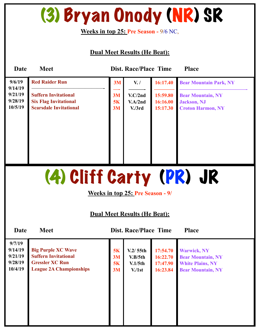(3) Bryan Onody (NR) SR

#### **Weeks in top 25: Pre Season -** 9/6 NC,

| Date               | <b>Meet</b>                                                 |          | <b>Dist. Race/Place Time</b>        |                      | <b>Place</b>                                        |
|--------------------|-------------------------------------------------------------|----------|-------------------------------------|----------------------|-----------------------------------------------------|
| 9/6/19<br>9/14/19  | <b>Red Raider Run</b>                                       | 3M       | V. /                                | 16:17.40             | <b>Bear Mountain Park, NY</b>                       |
| 9/21/19<br>9/28/19 | <b>Suffern Invitational</b><br><b>Six Flag Invitational</b> | 3M<br>5K | V.C/2nd<br>V.A/2nd                  | 15:59.80<br>16:16.00 | <b>Bear Mountain, NY</b><br><b>Jackson</b> , NJ     |
| 10/5/19            | <b>Scarsdale Invitational</b>                               | 3M       | V <sub>1</sub> /3rd                 | 15:17.30             | <b>Croton Harmon, NY</b>                            |
|                    |                                                             |          |                                     |                      |                                                     |
|                    |                                                             |          |                                     |                      |                                                     |
|                    |                                                             |          |                                     |                      |                                                     |
|                    |                                                             |          |                                     |                      |                                                     |
|                    | (4) Cliff Carty (PR) JR                                     |          |                                     |                      |                                                     |
|                    |                                                             |          | Weeks in top 25: Pre Season - 9/    |                      |                                                     |
|                    |                                                             |          |                                     |                      |                                                     |
|                    |                                                             |          | <b>Dual Meet Results (He Beat):</b> |                      |                                                     |
| Date               | <b>Meet</b>                                                 |          | <b>Dist. Race/Place Time</b>        |                      | <b>Place</b>                                        |
| 9/7/19<br>9/14/19  | <b>Big Purple XC Wave</b>                                   | 5K       | V.2/55th                            |                      | 17:54.70 Warwick, NY                                |
| 9/21/19<br>9/28/19 | <b>Suffern Invitational</b><br><b>Gressler XC Run</b>       | 3M<br>5K | V.B/5th<br>V.1/5th                  | 16:22.70<br>17:47.90 | <b>Bear Mountain, NY</b><br><b>White Plains, NY</b> |
| 10/4/19            | <b>League 2A Championships</b>                              | 3M       | V <sub>1st</sub>                    | 16:23.84             | <b>Bear Mountain, NY</b>                            |
|                    |                                                             |          |                                     |                      |                                                     |
|                    |                                                             |          |                                     |                      |                                                     |
|                    |                                                             |          |                                     |                      |                                                     |
|                    |                                                             |          |                                     |                      |                                                     |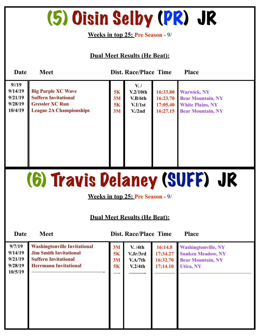### (5) Oisin Selby (PR) JR

**Weeks in top 25: Pre Season -** 9/

**Dual Meet Results (He Beat):** 

| Date                                             | <b>Meet</b>                                                                                                          | <b>Dist. Race/Place Time</b><br><b>Place</b> |                                                                        |                                              |                                                                                                       |  |  |  |  |
|--------------------------------------------------|----------------------------------------------------------------------------------------------------------------------|----------------------------------------------|------------------------------------------------------------------------|----------------------------------------------|-------------------------------------------------------------------------------------------------------|--|--|--|--|
| 9/19<br>9/14/19<br>9/21/19<br>9/28/19<br>10/4/19 | <b>Big Purple XC Wave</b><br><b>Suffern Invitational</b><br><b>Gressler XC Run</b><br><b>League 2A Championships</b> | 5K<br>3M<br>5K<br>3M                         | $V_{\cdot}$ /<br>V.2/10th<br>V.B/6th<br>V.1/1st<br>V <sub>1</sub> /2nd | 16:33.80<br>16:23.70<br>17:05.40<br>16:27.15 | <b>Warwick, NY</b><br><b>Bear Mountain, NY</b><br><b>White Plains, NY</b><br><b>Bear Mountain, NY</b> |  |  |  |  |

# (6) Travis Delaney (SUFF) JR

**Weeks in top 25: Pre Season -** 9/

#### **Dual Meet Results (He Beat):**

| 9/7/19<br>9/14/19<br>9/21/19<br>9/28/19<br>10/5/19 | <b>Washingtonville Invitational</b><br><b>Jim Smith Invitational</b><br><b>Suffern Invitational</b><br><b>Herrmann Invitational</b> | 3M<br>5K<br>3M<br>5K | V. /4th<br>V.Jr/3rd<br>V.A/7th<br>V.2/4th | 16:14.8<br>17:34.27<br>16:32.70<br>17:14.10 | <b>Washingtonville, NY</b><br><b>Sunken Meadow, NY</b><br><b>Bear Mountain, NY</b><br><b>Utica, NY</b> |
|----------------------------------------------------|-------------------------------------------------------------------------------------------------------------------------------------|----------------------|-------------------------------------------|---------------------------------------------|--------------------------------------------------------------------------------------------------------|
|----------------------------------------------------|-------------------------------------------------------------------------------------------------------------------------------------|----------------------|-------------------------------------------|---------------------------------------------|--------------------------------------------------------------------------------------------------------|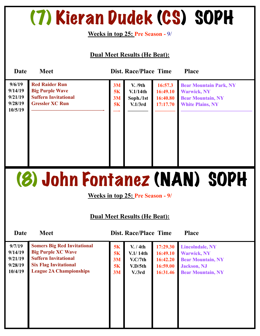### (7) Kieran Dudek (CS) SOPH

**Weeks in top 25: Pre Season -** 9/

**Dual Meet Results (He Beat):** 

| Date                                               | <b>Meet</b>                                                                                              |                      | <b>Dist. Race/Place Time</b>                |                                             | <b>Place</b>                                                                                               |
|----------------------------------------------------|----------------------------------------------------------------------------------------------------------|----------------------|---------------------------------------------|---------------------------------------------|------------------------------------------------------------------------------------------------------------|
| 9/6/19<br>9/14/19<br>9/21/19<br>9/28/19<br>10/5/19 | <b>Red Raider Run</b><br><b>Big Purple Wave</b><br><b>Suffern Invitational</b><br><b>Gressler XC Run</b> | 3M<br>5K<br>3M<br>5K | V. /9th<br>V.1/14th<br>Soph./1st<br>V.1/3rd | 16:57.3<br>16:49.10<br>16:40.80<br>17:17.70 | <b>Bear Mountain Park, NY</b><br><b>Warwick, NY</b><br><b>Bear Mountain, NY</b><br><b>White Plains, NY</b> |

# (8) John Fontanez (NAN) SOPH

**Weeks in top 25: Pre Season - 9/**

#### **Dual Meet Results (He Beat):**

| 9/7/19  | <b>Somers Big Red Invitational</b> | <b>5K</b> | V. / 4th            | 17:29.30 | <b>Lincolndale, NY</b>   |
|---------|------------------------------------|-----------|---------------------|----------|--------------------------|
| 9/14/19 | <b>Big Purple XC Wave</b>          | 5K        | V.1/14th            | 16:49.10 | <b>Warwick, NY</b>       |
| 9/21/19 | <b>Suffern Invitational</b>        | 3M        | V.C/7th             | 16:42.20 | <b>Bear Mountain, NY</b> |
| 9/28/19 | <b>Six Flag Invitational</b>       | <b>5K</b> | V.D/5th             | 16:59.00 | <b>Jackson</b> , NJ      |
| 10/4/19 | <b>League 2A Championships</b>     | 3M        | V <sub>1</sub> /3rd | 16:31.46 | <b>Bear Mountain, NY</b> |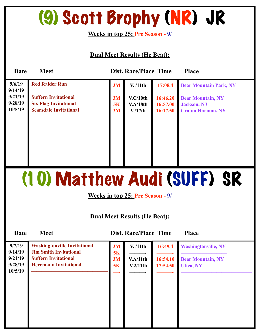# (9) Scott Brophy (NR) JR

**Weeks in top 25: Pre Season -** 9/

#### **Dual Meet Results (He Beat):**

| Date               | <b>Meet</b>                                                 |          | <b>Dist. Race/Place Time</b> |                      | <b>Place</b>                                    |
|--------------------|-------------------------------------------------------------|----------|------------------------------|----------------------|-------------------------------------------------|
| 9/6/19<br>9/14/19  | <b>Red Raider Run</b>                                       | 3M       | V. /11th                     | 17:08.4              | <b>Bear Mountain Park, NY</b>                   |
| 9/21/19<br>9/28/19 | <b>Suffern Invitational</b><br><b>Six Flag Invitational</b> | 3M       | V.C/10th                     | 16:46.20             | <b>Bear Mountain, NY</b>                        |
| 10/5/19            | <b>Scarsdale Invitational</b>                               | 5K<br>3M | V.A/18th<br>V/17th           | 16:57.00<br>16:17.50 | <b>Jackson</b> , NJ<br><b>Croton Harmon, NY</b> |
|                    |                                                             |          |                              |                      |                                                 |
|                    |                                                             |          |                              |                      |                                                 |
|                    |                                                             |          |                              |                      |                                                 |
|                    |                                                             |          |                              |                      |                                                 |
|                    |                                                             |          |                              |                      |                                                 |

# (10) Matthew Audi (SUFF) SR

**Weeks in top 25: Pre Season -** 9/

| Date               | <b>Meet</b>                                                          |          | <b>Dist. Race/Place Time</b> |          | <b>Place</b>               |  |
|--------------------|----------------------------------------------------------------------|----------|------------------------------|----------|----------------------------|--|
| 9/7/19<br>9/14/19  | <b>Washingtonville Invitational</b><br><b>Jim Smith Invitational</b> | 3M<br>5K | V. /11th                     | 16:49.4  | <b>Washingtonville, NY</b> |  |
| 9/21/19            | <b>Suffern Invitational</b>                                          | 3M       | V.A/11th                     | 16:54.10 | <b>Bear Mountain, NY</b>   |  |
| 9/28/19<br>10/5/19 | <b>Herrmann Invitational</b>                                         | 5K       | V.2/11th                     | 17:54.50 | <b>Utica, NY</b>           |  |
|                    |                                                                      |          |                              |          |                            |  |
|                    |                                                                      |          |                              |          |                            |  |
|                    |                                                                      |          |                              |          |                            |  |
|                    |                                                                      |          |                              |          |                            |  |
|                    |                                                                      |          |                              |          |                            |  |
|                    |                                                                      |          |                              |          |                            |  |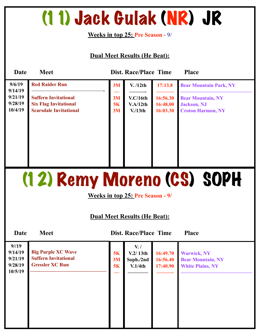### (11) Jack Gulak (NR) JR

**Weeks in top 25: Pre Season -** 9/

#### **Dual Meet Results (He Beat):**

| Date                          | <b>Meet</b>                                                                                  |                | <b>Dist. Race/Place Time</b>              |                                  | <b>Place</b>                                                                |
|-------------------------------|----------------------------------------------------------------------------------------------|----------------|-------------------------------------------|----------------------------------|-----------------------------------------------------------------------------|
| 9/6/19<br>9/14/19             | <b>Red Raider Run</b>                                                                        | 3M             | V. /12th                                  | 17:13.8                          | <b>Bear Mountain Park, NY</b>                                               |
| 9/21/19<br>9/28/19<br>10/4/19 | <b>Suffern Invitational</b><br><b>Six Flag Invitational</b><br><b>Scarsdale Invitational</b> | 3M<br>5K<br>3M | V.C/16th<br>V.A/12th<br>V <sub>13th</sub> | 16:56.30<br>16:48.00<br>16:03.30 | <b>Bear Mountain, NY</b><br><b>Jackson</b> , NJ<br><b>Croton Harmon, NY</b> |

# (12) Remy Moreno (CS) SOPH

**Weeks in top 25: Pre Season - 9/**

#### **Dual Meet Results (He Beat):**

| 9/19<br>9/14/19<br>9/21/19<br>9/28/19<br>10/5/19 | <b>Big Purple XC Wave</b><br><b>Suffern Invitational</b><br><b>Gressler XC Run</b> | 5K<br>3M<br><b>5K</b> | $V_{\cdot}$ /<br>V.2/13th<br>Soph./2nd<br>V.1/4th | 16:49.70<br>16:56.40<br>17:40.90 | <b>Warwick, NY</b><br><b>Bear Mountain, NY</b><br><b>White Plains, NY</b> |
|--------------------------------------------------|------------------------------------------------------------------------------------|-----------------------|---------------------------------------------------|----------------------------------|---------------------------------------------------------------------------|
|                                                  |                                                                                    |                       |                                                   |                                  |                                                                           |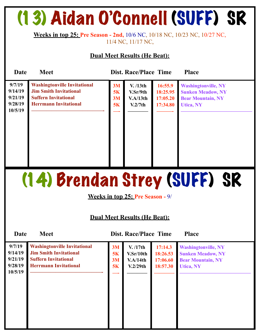# (13) Aidan O'Connell (SUFF) SR

**Weeks in top 25: Pre Season - 2nd,** 10/6 NC, 10/18 NC, 10/23 NC, 10/27 NC, 11/4 NC, 11/17 NC,

#### **Dual Meet Results (He Beat):**

| Date                                               | <b>Meet</b>                                                                                                                         |                      | <b>Dist. Race/Place Time</b>                 |                                             | <b>Place</b>                                                                                           |
|----------------------------------------------------|-------------------------------------------------------------------------------------------------------------------------------------|----------------------|----------------------------------------------|---------------------------------------------|--------------------------------------------------------------------------------------------------------|
| 9/7/19<br>9/14/19<br>9/21/19<br>9/28/19<br>10/5/19 | <b>Washingtonville Invitational</b><br><b>Jim Smith Invitational</b><br><b>Suffern Invitational</b><br><b>Herrmann Invitational</b> | 3M<br>5K<br>3M<br>5K | V. / 13th<br>V.Sr/9th<br>V.A/13th<br>V.2/7th | 16:55.9<br>18:25.95<br>17:05.20<br>17:34.80 | <b>Washingtonville, NY</b><br><b>Sunken Meadow, NY</b><br><b>Bear Mountain, NY</b><br><b>Utica, NY</b> |

# (14) Brendan Strey (SUFF) SR

**Weeks in top 25: Pre Season -** 9/

#### **Dual Meet Results (He Beat):**

**Date Meet Dist. Race/Place Time Place Washingtonville, NY Sunken Meadow, NY Bear Mountain, NY Utica, NY —————————————— Washingtonville Invitational Jim Smith Invitational Suffern Invitational Herrmann Invitational ——————————————- 9/7/19 9/14/19 9/21/19 9/28/19 10/5/19 V. /17th V.Sr/10th V.A/14th V.2/29th ———— 3M 5K 3M 5K —- 17:14.3 18:26.53 17:06.60 18:57.30 ————**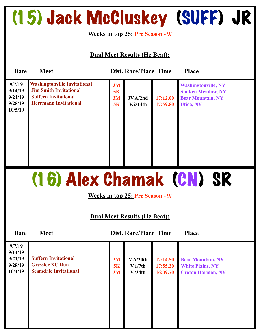# (15) Jack McCluskey (SUFF) JR

**Weeks in top 25: Pre Season - 9/**

#### **Dual Meet Results (He Beat):**

| Date                                               | <b>Meet</b>                                                                                                                         |                      | <b>Dist. Race/Place Time</b> |                      | <b>Place</b>                                                                                           |
|----------------------------------------------------|-------------------------------------------------------------------------------------------------------------------------------------|----------------------|------------------------------|----------------------|--------------------------------------------------------------------------------------------------------|
| 9/7/19<br>9/14/19<br>9/21/19<br>9/28/19<br>10/5/19 | <b>Washingtonville Invitational</b><br><b>Jim Smith Invitational</b><br><b>Suffern Invitational</b><br><b>Herrmann Invitational</b> | 3M<br>5K<br>3M<br>5K | JV.A/2nd<br>V.2/14th         | 17:12.00<br>17:59.80 | <b>Washingtonville, NY</b><br><b>Sunken Meadow, NY</b><br><b>Bear Mountain, NY</b><br><b>Utica, NY</b> |

# (16) Alex Chamak (CN) SR

**Weeks in top 25: Pre Season - 9/**

#### **Dual Meet Results (He Beat):**

| 9/7/19<br>9/14/19<br>9/21/19<br>9/28/19<br>10/4/19 | <b>Suffern Invitational</b><br><b>Gressler XC Run</b><br><b>Scarsdale Invitational</b> | 3M<br>5K<br>3M | V.A/20th<br>V.1/7th<br>V <sub>1</sub> /34th | 17:14.50<br>17:55.20<br>16:39.70 | <b>Bear Mountain, NY</b><br><b>White Plains, NY</b><br><b>Croton Harmon, NY</b> |
|----------------------------------------------------|----------------------------------------------------------------------------------------|----------------|---------------------------------------------|----------------------------------|---------------------------------------------------------------------------------|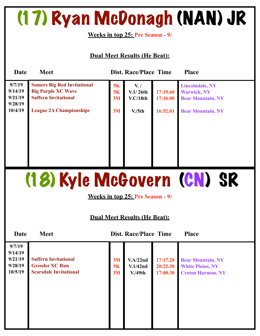### (17) Ryan McDonagh (NAN) JR

**Weeks in top 25: Pre Season - 9/**

#### **Dual Meet Results (He Beat):**

| Date               | <b>Meet</b>                                                     |          | <b>Dist. Race/Place Time</b> |          | <b>Place</b>                                   |
|--------------------|-----------------------------------------------------------------|----------|------------------------------|----------|------------------------------------------------|
| 9/7/19<br>9/14/19  | <b>Somers Big Red Invitational</b><br><b>Big Purple XC Wave</b> | 5K<br>5K | $V_{\cdot}$ /<br>V.1/26th    | 17:19.60 | <b>Lincolndale, NY</b>                         |
| 9/21/19            | <b>Suffern Invitational</b>                                     | 3M       | V.C/18th                     | 17:16.00 | <b>Warwick, NY</b><br><b>Bear Mountain, NY</b> |
| 9/28/19<br>10/4/19 | <b>League 2A Championships</b>                                  | 3M       | V <sub>1</sub> /5th          | 16:52.01 | <b>Bear Mountain, NY</b>                       |
|                    |                                                                 |          |                              |          |                                                |
|                    |                                                                 |          |                              |          |                                                |
|                    |                                                                 |          |                              |          |                                                |
|                    |                                                                 |          |                              |          |                                                |
|                    |                                                                 |          |                              |          |                                                |

# (18) Kyle McGovern (CN) SR

**Weeks in top 25: Pre Season - 9/**

| Date                                               | <b>Meet</b>                                                                            |                | <b>Dist. Race/Place Time</b>               |                                  | <b>Place</b>                                                                    |
|----------------------------------------------------|----------------------------------------------------------------------------------------|----------------|--------------------------------------------|----------------------------------|---------------------------------------------------------------------------------|
| 9/7/19<br>9/14/19<br>9/21/19<br>9/28/19<br>10/5/19 | <b>Suffern Invitational</b><br><b>Gressler XC Run</b><br><b>Scarsdale Invitational</b> | 3M<br>5K<br>3M | V.A/22nd<br>V.1/42nd<br>V.49 <sub>th</sub> | 17:17.20<br>20:22.30<br>17:00.30 | <b>Bear Mountain, NY</b><br><b>White Plains, NY</b><br><b>Croton Harmon, NY</b> |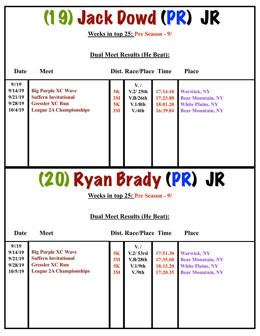### (19) Jack Dowd (PR) JR

**Weeks in top 25: Pre Season - 9/**

**Dual Meet Results (He Beat):** 

| Date                                             | <b>Meet</b>                                                                                                          |                      | <b>Dist. Race/Place Time</b>                            |                                              | <b>Place</b>                                                                                          |
|--------------------------------------------------|----------------------------------------------------------------------------------------------------------------------|----------------------|---------------------------------------------------------|----------------------------------------------|-------------------------------------------------------------------------------------------------------|
| 9/19<br>9/14/19<br>9/21/19<br>9/28/19<br>10/4/19 | <b>Big Purple XC Wave</b><br><b>Suffern Invitational</b><br><b>Gressler XC Run</b><br><b>League 2A Championships</b> | 5K<br>3M<br>5K<br>3M | $V_{\cdot}$<br>V.2/25th<br>V.B/26th<br>V.1/8th<br>V.4th | 17:14.10<br>17:23.80<br>18:01.20<br>16:39.84 | <b>Warwick, NY</b><br><b>Bear Mountain, NY</b><br><b>White Plains, NY</b><br><b>Bear Mountain, NY</b> |

# (20) Ryan Brady (PR) JR

**Weeks in top 25: Pre Season - 9/**

#### **Dual Meet Results (He Beat):**

| 9/19<br>9/14/19<br>9/21/19<br>9/28/19<br>10/5/19 | <b>Big Purple XC Wave</b><br><b>Suffern Invitational</b><br><b>Gressler XC Run</b><br><b>League 2A Championships</b> | 5K<br>3M<br>5K<br>3M | $V_{\cdot}$<br>V.2/53rd<br>V.B/28th<br>V.1/9th<br>V.9th | 17:51.30<br>17:35.60<br>18:13.20<br>17:20.35 | <b>Warwick, NY</b><br><b>Bear Mountain, NY</b><br><b>White Plains, NY</b><br><b>Bear Mountain, NY</b> |  |
|--------------------------------------------------|----------------------------------------------------------------------------------------------------------------------|----------------------|---------------------------------------------------------|----------------------------------------------|-------------------------------------------------------------------------------------------------------|--|
|--------------------------------------------------|----------------------------------------------------------------------------------------------------------------------|----------------------|---------------------------------------------------------|----------------------------------------------|-------------------------------------------------------------------------------------------------------|--|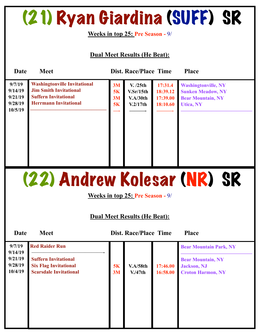### (21) Ryan Giardina (SUFF) SR

**Weeks in top 25: Pre Season -** 9/

**Dual Meet Results (He Beat):** 

| Date                                               | <b>Meet</b>                                                                                                                         |                      | <b>Dist. Race/Place Time</b>                  |                                             | <b>Place</b>                                                                                           |
|----------------------------------------------------|-------------------------------------------------------------------------------------------------------------------------------------|----------------------|-----------------------------------------------|---------------------------------------------|--------------------------------------------------------------------------------------------------------|
| 9/7/19<br>9/14/19<br>9/21/19<br>9/28/19<br>10/5/19 | <b>Washingtonville Invitational</b><br><b>Jim Smith Invitational</b><br><b>Suffern Invitational</b><br><b>Herrmann Invitational</b> | 3M<br>5K<br>3M<br>5K | V. /25th<br>V.Sr/15th<br>V.A/30th<br>V.2/17th | 17:31.4<br>18:39.12<br>17:39.00<br>18:10.60 | <b>Washingtonville, NY</b><br><b>Sunken Meadow, NY</b><br><b>Bear Mountain, NY</b><br><b>Utica, NY</b> |

(22) Andrew Kolesar (NR) SR

**Weeks in top 25: Pre Season -** 9/

#### **Dual Meet Results (He Beat):**

| 9/14/19<br>9/21/19<br><b>Suffern Invitational</b><br>9/28/19<br><b>Six Flag Invitational</b><br>5K<br>10/4/19<br><b>Scarsdale Invitational</b><br>3M | <b>V.A/58th</b><br>V.47th | 17:46.00<br>16:58.00 | <b>Bear Mountain, NY</b><br><b>Jackson</b> , NJ<br><b>Croton Harmon, NY</b> |
|------------------------------------------------------------------------------------------------------------------------------------------------------|---------------------------|----------------------|-----------------------------------------------------------------------------|
|                                                                                                                                                      |                           |                      |                                                                             |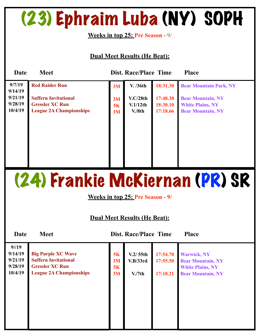# (23) Ephraim Luba (NY) SOPH

**Weeks in top 25: Pre Season -** 9/

#### **Dual Meet Results (He Beat):**

| Date                                     | <b>Meet</b>                                                                             |                | <b>Dist. Race/Place Time</b>  |                                  | <b>Place</b>                                                                    |
|------------------------------------------|-----------------------------------------------------------------------------------------|----------------|-------------------------------|----------------------------------|---------------------------------------------------------------------------------|
| 9/7/19                                   | <b>Red Raider Run</b>                                                                   | 3M             | V. /36th                      | 18:31.30                         | <b>Bear Mountain Park, NY</b>                                                   |
| 9/14/19<br>9/21/19<br>9/28/19<br>10/4/19 | <b>Suffern Invitational</b><br><b>Gressler XC Run</b><br><b>League 2A Championships</b> | 3M<br>5K<br>3M | V.C/28th<br>V.1/12th<br>V.8th | 17:48.30<br>18:30.10<br>17:18.66 | <b>Bear Mountain, NY</b><br><b>White Plains, NY</b><br><b>Bear Mountain, NY</b> |

### (24) Frankie McKiernan (PR) SR

**Weeks in top 25: Pre Season - 9/**

| Date                                             | <b>Meet</b>                                                                                                          |                      | <b>Dist. Race/Place Time</b>                |                                  | <b>Place</b>                                                                                          |
|--------------------------------------------------|----------------------------------------------------------------------------------------------------------------------|----------------------|---------------------------------------------|----------------------------------|-------------------------------------------------------------------------------------------------------|
| 9/19<br>9/14/19<br>9/21/19<br>9/28/19<br>10/4/19 | <b>Big Purple XC Wave</b><br><b>Suffern Invitational</b><br><b>Gressler XC Run</b><br><b>League 2A Championships</b> | 5K<br>3M<br>5K<br>3M | V.2/55th<br>V.B/33rd<br>V <sub>1</sub> /7th | 17:54.70<br>17:55.50<br>17:18.21 | <b>Warwick, NY</b><br><b>Bear Mountain, NY</b><br><b>White Plains, NY</b><br><b>Bear Mountain, NY</b> |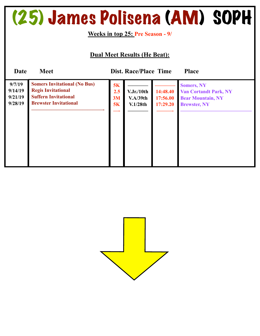### (25) James Polisena (AM) SOPH

**Weeks in top 25: Pre Season - 9/**

| Date                                    | <b>Meet</b>                                                                                                                     |                       | <b>Dist. Race/Place Time</b>       |                                  | <b>Place</b>                                                                                         |
|-----------------------------------------|---------------------------------------------------------------------------------------------------------------------------------|-----------------------|------------------------------------|----------------------------------|------------------------------------------------------------------------------------------------------|
| 9/7/19<br>9/14/19<br>9/21/19<br>9/28/19 | <b>Somers Invitational (No Bus)</b><br><b>Regis Invitational</b><br><b>Suffern Invitational</b><br><b>Brewster Invitational</b> | 5K<br>2.5<br>3M<br>5K | V.Jr./10th<br>V.A/39th<br>V.1/28th | 14:48.40<br>17:56.00<br>17:29.20 | <b>Somers, NY</b><br><b>Van Cortandt Park, NY</b><br><b>Bear Mountain, NY</b><br><b>Brewster, NY</b> |

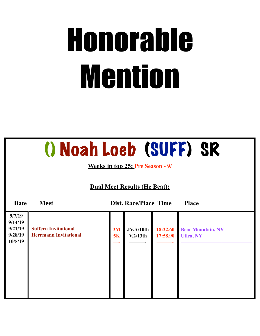# Honorable Mention

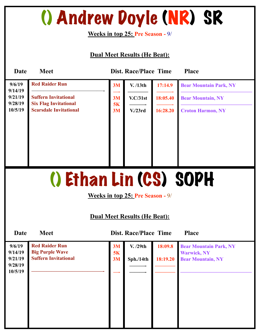### () Andrew Doyle (NR) SR

**Weeks in top 25: Pre Season -** 9/

#### **Dual Meet Results (He Beat):**

| Date                                | <b>Meet</b>                                                 |          | <b>Dist. Race/Place Time</b> |          | <b>Place</b>                  |  |  |  |
|-------------------------------------|-------------------------------------------------------------|----------|------------------------------|----------|-------------------------------|--|--|--|
| 9/6/19<br>9/14/19                   | <b>Red Raider Run</b>                                       | 3M       | V. /13th                     | 17:14.9  | <b>Bear Mountain Park, NY</b> |  |  |  |
| 9/21/19<br>9/28/19                  | <b>Suffern Invitational</b><br><b>Six Flag Invitational</b> | 3M<br>5K | V.C/31st                     | 18:05.40 | <b>Bear Mountain, NY</b>      |  |  |  |
| 10/5/19                             | <b>Scarsdale Invitational</b>                               | 3M       | V <sub>1</sub> /23rd         | 16:28.20 | <b>Croton Harmon, NY</b>      |  |  |  |
|                                     |                                                             |          |                              |          |                               |  |  |  |
|                                     |                                                             |          |                              |          |                               |  |  |  |
|                                     |                                                             |          |                              |          |                               |  |  |  |
|                                     |                                                             |          |                              |          |                               |  |  |  |
| () Ethan Lin (CS) SOPH              |                                                             |          |                              |          |                               |  |  |  |
| Weeks in top 25: Pre Season - 9/    |                                                             |          |                              |          |                               |  |  |  |
| <b>Dual Meet Results (He Beat):</b> |                                                             |          |                              |          |                               |  |  |  |

| 9/6/19<br>9/14/19<br>9/21/19<br>9/28/19 | <b>Red Raider Run</b><br><b>Big Purple Wave</b><br><b>Suffern Invitational</b> | 3M<br>5K<br>3M | V. /29th<br>Sph./14th | 18:09.8<br>18:19.20 | <b>Bear Mountain Park, NY</b><br><b>Warwick, NY</b><br><b>Bear Mountain, NY</b> |
|-----------------------------------------|--------------------------------------------------------------------------------|----------------|-----------------------|---------------------|---------------------------------------------------------------------------------|
| 10/5/19                                 |                                                                                |                |                       |                     |                                                                                 |
|                                         |                                                                                |                |                       |                     |                                                                                 |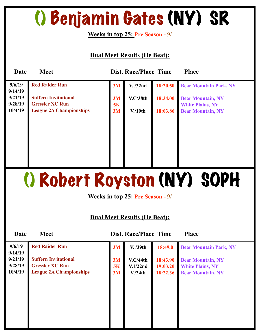# () Benjamin Gates (NY) SR

**Weeks in top 25: Pre Season -** 9/

#### **Dual Meet Results (He Beat):**

| Date               | <b>Meet</b>                                           |          | <b>Dist. Race/Place Time</b> |          | <b>Place</b>                                        |
|--------------------|-------------------------------------------------------|----------|------------------------------|----------|-----------------------------------------------------|
| 9/6/19<br>9/14/19  | <b>Red Raider Run</b>                                 | 3M       | V. /32nd                     | 18:20.50 | <b>Bear Mountain Park, NY</b>                       |
| 9/21/19<br>9/28/19 | <b>Suffern Invitational</b><br><b>Gressler XC Run</b> | 3M<br>5K | V.C/38th                     | 18:34.00 | <b>Bear Mountain, NY</b><br><b>White Plains, NY</b> |
| 10/4/19            | <b>League 2A Championships</b>                        | 3M       | V.19 <sub>th</sub>           | 18:03.86 | <b>Bear Mountain, NY</b>                            |
|                    |                                                       |          |                              |          |                                                     |
|                    |                                                       |          |                              |          |                                                     |
|                    |                                                       |          |                              |          |                                                     |
|                    |                                                       |          |                              |          |                                                     |

# () Robert Royston (NY) SOPH

**Weeks in top 25: Pre Season -** 9/

#### **Dual Meet Results (He Beat):**

| 9/6/19<br>9/14/19             | <b>Red Raider Run</b>                                                                   | 3M             | V. /39th                                     | 18:49.0                          | <b>Bear Mountain Park, NY</b>                                                   |
|-------------------------------|-----------------------------------------------------------------------------------------|----------------|----------------------------------------------|----------------------------------|---------------------------------------------------------------------------------|
| 9/21/19<br>9/28/19<br>10/4/19 | <b>Suffern Invitational</b><br><b>Gressler XC Run</b><br><b>League 2A Championships</b> | 3M<br>5K<br>3M | V.C/44th<br>V.1/22nd<br>V <sub>1</sub> /24th | 18:43.90<br>19:03.20<br>18:22.36 | <b>Bear Mountain, NY</b><br><b>White Plains, NY</b><br><b>Bear Mountain, NY</b> |
|                               |                                                                                         |                |                                              |                                  |                                                                                 |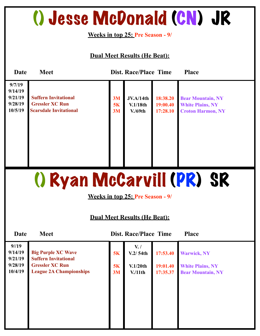### () Jesse McDonald (CN) JR

**Weeks in top 25: Pre Season - 9/**

#### **Dual Meet Results (He Beat):**

| Date                                               | <b>Meet</b>                                                                            |                | <b>Dist. Race/Place Time</b>            |                                  | <b>Place</b>                                                                    |
|----------------------------------------------------|----------------------------------------------------------------------------------------|----------------|-----------------------------------------|----------------------------------|---------------------------------------------------------------------------------|
| 9/7/19<br>9/14/19<br>9/21/19<br>9/28/19<br>10/5/19 | <b>Suffern Invitational</b><br><b>Gressler XC Run</b><br><b>Scarsdale Invitational</b> | 3M<br>5K<br>3M | <b>JV.A/14th</b><br>V.1/18th<br>V./69th | 18:38.20<br>19:00.40<br>17:28.10 | <b>Bear Mountain, NY</b><br><b>White Plains, NY</b><br><b>Croton Harmon, NY</b> |

# () Ryan McCarvill (PR) SR

**Weeks in top 25: Pre Season - 9/**

| Date                       | <b>Meet</b>                                              | <b>Dist. Race/Place Time</b><br><b>Place</b> |                               |                      |                                                     |  |  |
|----------------------------|----------------------------------------------------------|----------------------------------------------|-------------------------------|----------------------|-----------------------------------------------------|--|--|
| 9/19<br>9/14/19<br>9/21/19 | <b>Big Purple XC Wave</b><br><b>Suffern Invitational</b> | 5K                                           | $V_{\cdot}$ /<br>V.2/54th     | 17:53.40             | <b>Warwick, NY</b>                                  |  |  |
| 9/28/19<br>10/4/19         | <b>Gressler XC Run</b><br><b>League 2A Championships</b> | 5K<br>3M                                     | V.1/20th<br>V <sub>11th</sub> | 19:01.40<br>17:35.37 | <b>White Plains, NY</b><br><b>Bear Mountain, NY</b> |  |  |
|                            |                                                          |                                              |                               |                      |                                                     |  |  |
|                            |                                                          |                                              |                               |                      |                                                     |  |  |
|                            |                                                          |                                              |                               |                      |                                                     |  |  |